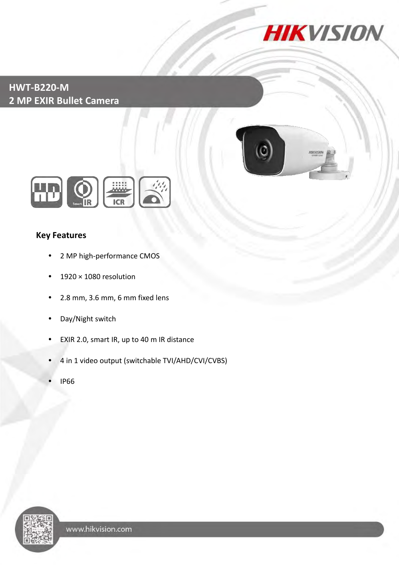

### **HWT-B220-M 2 MP EXIR Bullet Camera**





### **Key Features**

- 2 MP high-performance CMOS
- $\cdot$  1920 × 1080 resolution
- 2.8 mm, 3.6 mm, 6 mm fixed lens
- Day/Night switch
- EXIR 2.0, smart IR, up to 40 m IR distance
- 4 in 1 video output (switchable TVI/AHD/CVI/CVBS)
- IP66

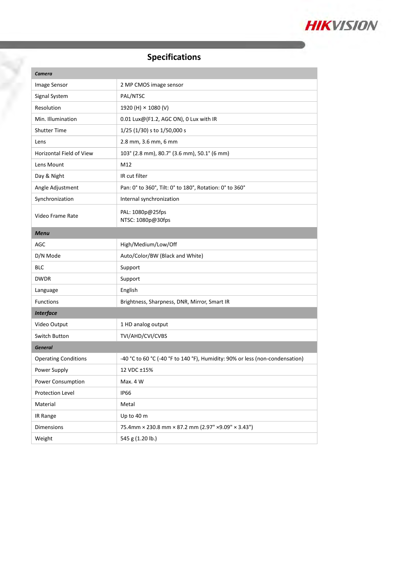

## **Specifications**

| <b>Camera</b>               |                                                                              |
|-----------------------------|------------------------------------------------------------------------------|
| Image Sensor                | 2 MP CMOS image sensor                                                       |
| Signal System               | PAL/NTSC                                                                     |
| Resolution                  | 1920 (H) × 1080 (V)                                                          |
| Min. Illumination           | 0.01 Lux@(F1.2, AGC ON), 0 Lux with IR                                       |
| <b>Shutter Time</b>         | $1/25$ (1/30) s to 1/50,000 s                                                |
| Lens                        | 2.8 mm, 3.6 mm, 6 mm                                                         |
| Horizontal Field of View    | 103° (2.8 mm), 80.7° (3.6 mm), 50.1° (6 mm)                                  |
| Lens Mount                  | M12                                                                          |
| Day & Night                 | IR cut filter                                                                |
| Angle Adjustment            | Pan: 0° to 360°, Tilt: 0° to 180°, Rotation: 0° to 360°                      |
| Synchronization             | Internal synchronization                                                     |
| Video Frame Rate            | PAL: 1080p@25fps<br>NTSC: 1080p@30fps                                        |
| <b>Menu</b>                 |                                                                              |
| AGC                         | High/Medium/Low/Off                                                          |
| D/N Mode                    | Auto/Color/BW (Black and White)                                              |
| BLC                         | Support                                                                      |
| <b>DWDR</b>                 | Support                                                                      |
| Language                    | English                                                                      |
| <b>Functions</b>            | Brightness, Sharpness, DNR, Mirror, Smart IR                                 |
| <b>Interface</b>            |                                                                              |
| Video Output                | 1 HD analog output                                                           |
| Switch Button               | TVI/AHD/CVI/CVBS                                                             |
| <b>General</b>              |                                                                              |
| <b>Operating Conditions</b> | -40 °C to 60 °C (-40 °F to 140 °F), Humidity: 90% or less (non-condensation) |
| Power Supply                | 12 VDC ±15%                                                                  |
| Power Consumption           | Max. 4 W                                                                     |
| Protection Level            | <b>IP66</b>                                                                  |
| Material                    | Metal                                                                        |
| IR Range                    | Up to 40 m                                                                   |
| <b>Dimensions</b>           | 75.4mm × 230.8 mm × 87.2 mm (2.97" × 9.09" × 3.43")                          |
| Weight                      | 545 g (1.20 lb.)                                                             |